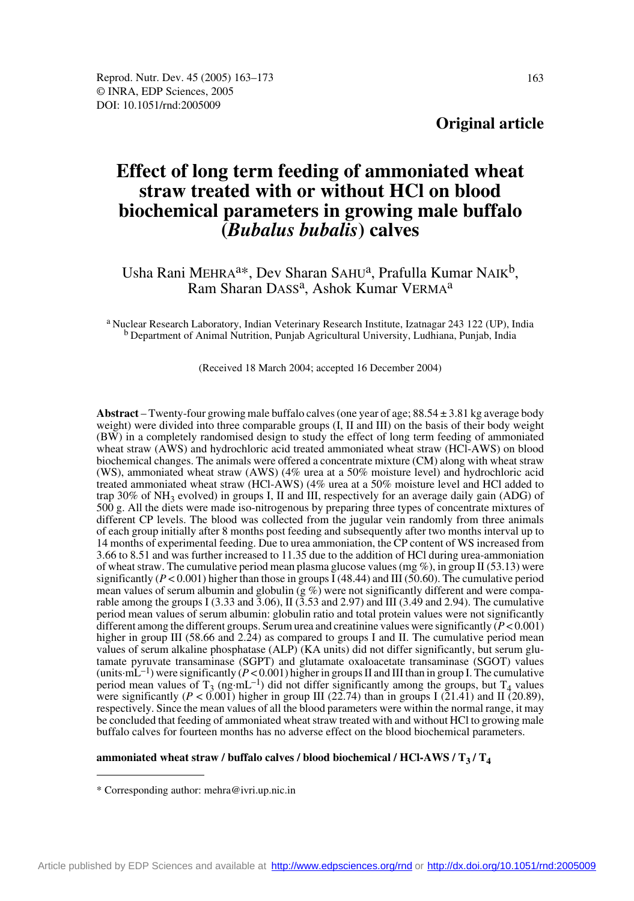# **Original article**

# **Effect of long term feeding of ammoniated wheat straw treated with or without HCl on blood biochemical parameters in growing male buffalo (***Bubalus bubalis***) calves**

Usha Rani MEHRA<sup>a\*</sup>, Dev Sharan SAHU<sup>a</sup>, Prafulla Kumar NAIK<sup>b</sup>, Ram Sharan DASS<sup>a</sup>, Ashok Kumar VERMA<sup>a</sup>

a Nuclear Research Laboratory, Indian Veterinary Research Institute, Izatnagar 243 122 (UP), India b Department of Animal Nutrition, Punjab Agricultural University, Ludhiana, Punjab, India

(Received 18 March 2004; accepted 16 December 2004)

**Abstract** – Twenty-four growing male buffalo calves (one year of age; 88.54 ± 3.81 kg average body weight) were divided into three comparable groups (I, II and III) on the basis of their body weight (BW) in a completely randomised design to study the effect of long term feeding of ammoniated wheat straw (AWS) and hydrochloric acid treated ammoniated wheat straw (HCl-AWS) on blood biochemical changes. The animals were offered a concentrate mixture (CM) along with wheat straw (WS), ammoniated wheat straw (AWS) (4% urea at a 50% moisture level) and hydrochloric acid treated ammoniated wheat straw (HCl-AWS) (4% urea at a 50% moisture level and HCl added to trap 30% of  $NH_3$  evolved) in groups I, II and III, respectively for an average daily gain (ADG) of 500 g. All the diets were made iso-nitrogenous by preparing three types of concentrate mixtures of different CP levels. The blood was collected from the jugular vein randomly from three animals of each group initially after 8 months post feeding and subsequently after two months interval up to 14 months of experimental feeding. Due to urea ammoniation, the CP content of WS increased from 3.66 to 8.51 and was further increased to 11.35 due to the addition of HCl during urea-ammoniation of wheat straw. The cumulative period mean plasma glucose values (mg  $\%$ ), in group II (53.13) were significantly ( $P < 0.001$ ) higher than those in groups I (48.44) and III (50.60). The cumulative period mean values of serum albumin and globulin  $(g\%)$  were not significantly different and were comparable among the groups I (3.33 and  $\overline{3.06}$ ), II ( $\overline{3.53}$  and 2.97) and III (3.49 and 2.94). The cumulative period mean values of serum albumin: globulin ratio and total protein values were not significantly different among the different groups. Serum urea and creatinine values were significantly (*P* < 0.001) higher in group III (58.66 and 2.24) as compared to groups I and II. The cumulative period mean values of serum alkaline phosphatase (ALP) (KA units) did not differ significantly, but serum glutamate pyruvate transaminase (SGPT) and glutamate oxaloacetate transaminase (SGOT) values (units-mL<sup>-1</sup>) were significantly ( $P < 0.001$ ) higher in groups II and III than in group I. The cumulative period mean values of T<sub>3</sub> (ng·mL<sup>-1</sup>) did not differ significantly among the groups, but T<sub>4</sub> values were significantly (*P* < 0.001) higher in group III (22.74) than in groups I (21.41) and II (20.89), respectively. Since the mean values of all the blood parameters were within the normal range, it may be concluded that feeding of ammoniated wheat straw treated with and without HCl to growing male buffalo calves for fourteen months has no adverse effect on the blood biochemical parameters.

#### ammoniated wheat straw / buffalo calves / blood biochemical / HCl-AWS /  $T_3$  /  $T_4$

<sup>\*</sup> Corresponding author: mehra@ivri.up.nic.in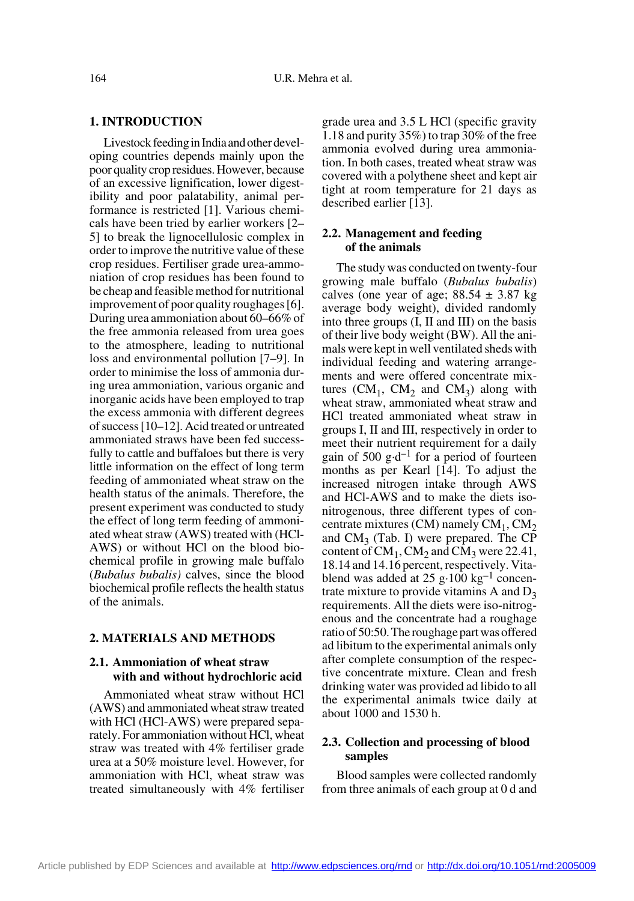#### **1. INTRODUCTION**

Livestock feeding in India and other developing countries depends mainly upon the poor quality crop residues. However, because of an excessive lignification, lower digestibility and poor palatability, animal performance is restricted [1]. Various chemicals have been tried by earlier workers [2– 5] to break the lignocellulosic complex in order to improve the nutritive value of these crop residues. Fertiliser grade urea-ammoniation of crop residues has been found to be cheap and feasible method for nutritional improvement of poor quality roughages [6]. During urea ammoniation about 60–66% of the free ammonia released from urea goes to the atmosphere, leading to nutritional loss and environmental pollution [7–9]. In order to minimise the loss of ammonia during urea ammoniation, various organic and inorganic acids have been employed to trap the excess ammonia with different degrees of success [10–12]. Acid treated or untreated ammoniated straws have been fed successfully to cattle and buffaloes but there is very little information on the effect of long term feeding of ammoniated wheat straw on the health status of the animals. Therefore, the present experiment was conducted to study the effect of long term feeding of ammoniated wheat straw (AWS) treated with (HCl-AWS) or without HCl on the blood biochemical profile in growing male buffalo (*Bubalus bubalis)* calves, since the blood biochemical profile reflects the health status of the animals.

#### **2. MATERIALS AND METHODS**

### **2.1. Ammoniation of wheat straw with and without hydrochloric acid**

Ammoniated wheat straw without HCl (AWS) and ammoniated wheat straw treated with HCl (HCl-AWS) were prepared separately. For ammoniation without HCl, wheat straw was treated with 4% fertiliser grade urea at a 50% moisture level. However, for ammoniation with HCl, wheat straw was treated simultaneously with 4% fertiliser grade urea and 3.5 L HCl (specific gravity 1.18 and purity 35%) to trap 30% of the free ammonia evolved during urea ammoniation. In both cases, treated wheat straw was covered with a polythene sheet and kept air tight at room temperature for 21 days as described earlier [13].

#### **2.2. Management and feeding of the animals**

The study was conducted on twenty-four growing male buffalo (*Bubalus bubalis*) calves (one year of age;  $88.54 \pm 3.87$  kg average body weight), divided randomly into three groups (I, II and III) on the basis of their live body weight (BW). All the animals were kept in well ventilated sheds with individual feeding and watering arrangements and were offered concentrate mixtures  $(CM_1, CM_2 \text{ and } CM_3)$  along with wheat straw, ammoniated wheat straw and HCl treated ammoniated wheat straw in groups I, II and III, respectively in order to meet their nutrient requirement for a daily gain of 500 g·d<sup>-1</sup> for a period of fourteen months as per Kearl [14]. To adjust the increased nitrogen intake through AWS and HCl-AWS and to make the diets isonitrogenous, three different types of concentrate mixtures (CM) namely  $CM_1$ ,  $CM_2$ and  $CM<sub>3</sub>$  (Tab. I) were prepared. The CP content of  $CM_1$ ,  $CM_2$  and  $CM_3$  were 22.41, 18.14 and 14.16 percent, respectively. Vitablend was added at 25 g·100 kg<sup>-1</sup> concentrate mixture to provide vitamins A and  $D_3$ requirements. All the diets were iso-nitrogenous and the concentrate had a roughage ratio of 50:50. The roughage part was offered ad libitum to the experimental animals only after complete consumption of the respective concentrate mixture. Clean and fresh drinking water was provided ad libido to all the experimental animals twice daily at about 1000 and 1530 h.

## **2.3. Collection and processing of blood samples**

Blood samples were collected randomly from three animals of each group at 0 d and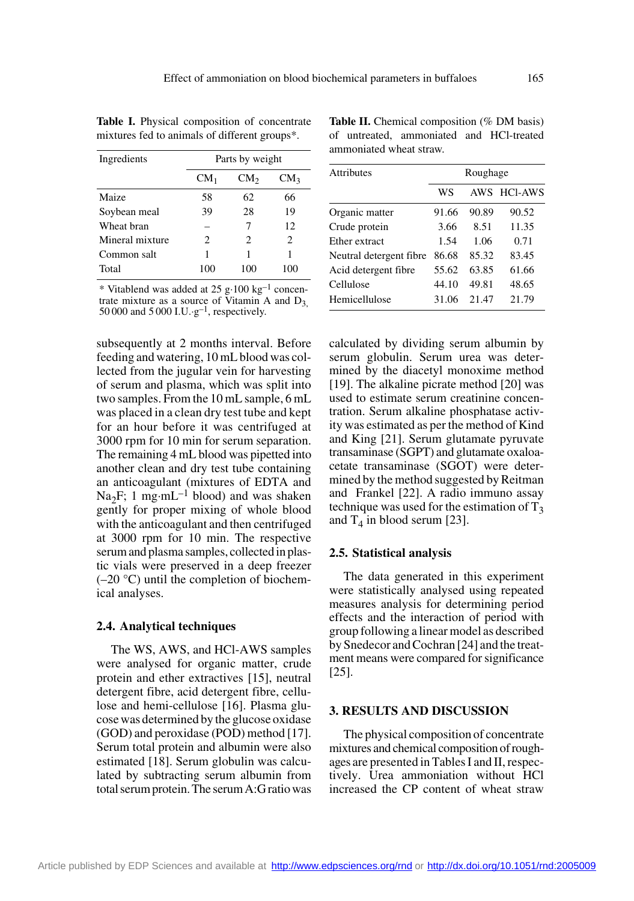| Ingredients     |        | Parts by weight |                             |
|-----------------|--------|-----------------|-----------------------------|
|                 | $CM_1$ | CM <sub>2</sub> | CM <sub>3</sub>             |
| Maize           | 58     | 62              | 66                          |
| Soybean meal    | 39     | 28              | 19                          |
| Wheat bran      |        | 7               | 12                          |
| Mineral mixture | 2      | 2               | $\mathcal{D}_{\mathcal{L}}$ |
| Common salt     | 1      |                 |                             |
| Total           | 100    | 100             |                             |

**Table I.** Physical composition of concentrate mixtures fed to animals of different groups\*.

\* Vitablend was added at 25 g·100 kg–1 concentrate mixture as a source of Vitamin A and  $D_3$ , 50 000 and 5 000 I.U.·g<sup>-1</sup>, respectively.

subsequently at 2 months interval. Before feeding and watering, 10 mL blood was collected from the jugular vein for harvesting of serum and plasma, which was split into two samples. From the 10 mL sample, 6 mL was placed in a clean dry test tube and kept for an hour before it was centrifuged at 3000 rpm for 10 min for serum separation. The remaining 4 mL blood was pipetted into another clean and dry test tube containing an anticoagulant (mixtures of EDTA and Na<sub>2</sub>F; 1 mg·mL<sup>-1</sup> blood) and was shaken gently for proper mixing of whole blood with the anticoagulant and then centrifuged at 3000 rpm for 10 min. The respective serum and plasma samples, collected in plastic vials were preserved in a deep freezer  $(-20 \degree C)$  until the completion of biochemical analyses.

#### **2.4. Analytical techniques**

The WS, AWS, and HCl-AWS samples were analysed for organic matter, crude protein and ether extractives [15], neutral detergent fibre, acid detergent fibre, cellulose and hemi-cellulose [16]. Plasma glucose was determined by the glucose oxidase (GOD) and peroxidase (POD) method [17]. Serum total protein and albumin were also estimated [18]. Serum globulin was calculated by subtracting serum albumin from total serum protein. The serum A:G ratio was

Table II. Chemical composition (% DM basis) of untreated, ammoniated and HCl-treated ammoniated wheat straw.

| <b>Attributes</b>       |       | Roughage |             |
|-------------------------|-------|----------|-------------|
|                         | WS    |          | AWS HCI-AWS |
| Organic matter          | 91.66 | 90.89    | 90.52       |
| Crude protein           | 3.66  | 8.51     | 11.35       |
| Ether extract           | 1.54  | 1.06     | 0.71        |
| Neutral detergent fibre | 86.68 | 85.32    | 83.45       |
| Acid detergent fibre    | 55.62 | 63.85    | 61.66       |
| Cellulose               | 44.10 | 49.81    | 48.65       |
| Hemicellulose           | 31.06 | 21.47    | 21.79       |

calculated by dividing serum albumin by serum globulin. Serum urea was determined by the diacetyl monoxime method [19]. The alkaline picrate method [20] was used to estimate serum creatinine concentration. Serum alkaline phosphatase activity was estimated as per the method of Kind and King [21]. Serum glutamate pyruvate transaminase (SGPT) and glutamate oxaloacetate transaminase (SGOT) were determined by the method suggested by Reitman and Frankel [22]. A radio immuno assay technique was used for the estimation of  $T_3$ and  $T_4$  in blood serum [23].

#### **2.5. Statistical analysis**

The data generated in this experiment were statistically analysed using repeated measures analysis for determining period effects and the interaction of period with group following a linear model as described by Snedecor and Cochran [24] and the treatment means were compared for significance [25].

#### **3. RESULTS AND DISCUSSION**

The physical composition of concentrate mixtures and chemical composition of roughages are presented in Tables I and II, respectively. Urea ammoniation without HCl increased the CP content of wheat straw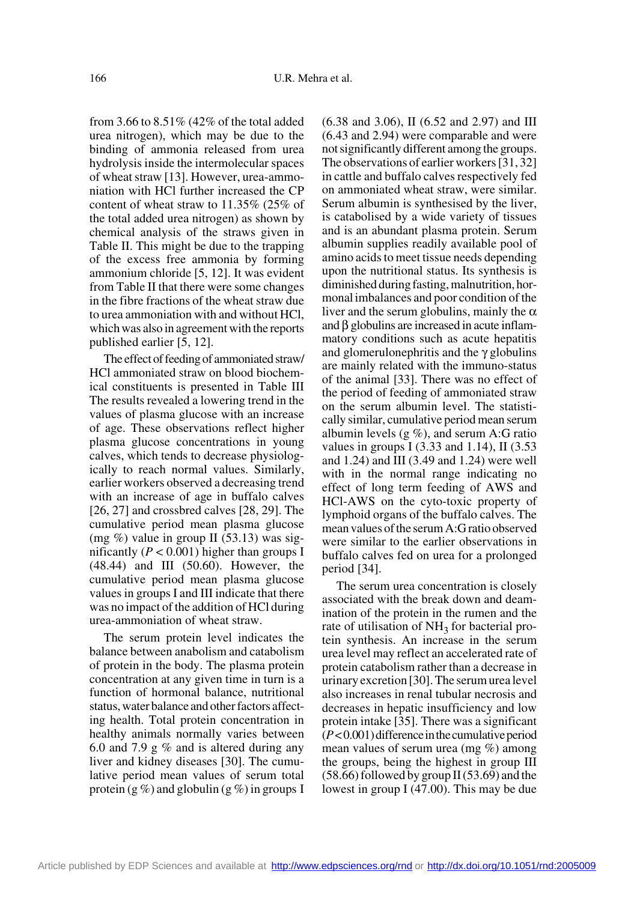from 3.66 to 8.51% (42% of the total added urea nitrogen), which may be due to the binding of ammonia released from urea hydrolysis inside the intermolecular spaces of wheat straw [13]. However, urea-ammoniation with HCl further increased the CP content of wheat straw to 11.35% (25% of the total added urea nitrogen) as shown by chemical analysis of the straws given in Table II. This might be due to the trapping of the excess free ammonia by forming ammonium chloride [5, 12]. It was evident from Table II that there were some changes in the fibre fractions of the wheat straw due to urea ammoniation with and without HCl, which was also in agreement with the reports published earlier [5, 12].

The effect of feeding of ammoniated straw/ HCl ammoniated straw on blood biochemical constituents is presented in Table III The results revealed a lowering trend in the values of plasma glucose with an increase of age. These observations reflect higher plasma glucose concentrations in young calves, which tends to decrease physiologically to reach normal values. Similarly, earlier workers observed a decreasing trend with an increase of age in buffalo calves [26, 27] and crossbred calves [28, 29]. The cumulative period mean plasma glucose (mg  $%$ ) value in group II (53.13) was significantly ( $P < 0.001$ ) higher than groups I (48.44) and III (50.60). However, the cumulative period mean plasma glucose values in groups I and III indicate that there was no impact of the addition of HCl during urea-ammoniation of wheat straw.

The serum protein level indicates the balance between anabolism and catabolism of protein in the body. The plasma protein concentration at any given time in turn is a function of hormonal balance, nutritional status, water balance and other factors affecting health. Total protein concentration in healthy animals normally varies between 6.0 and 7.9 g % and is altered during any liver and kidney diseases [30]. The cumulative period mean values of serum total protein (g %) and globulin (g %) in groups I (6.38 and 3.06), II (6.52 and 2.97) and III (6.43 and 2.94) were comparable and were not significantly different among the groups. The observations of earlier workers [31, 32] in cattle and buffalo calves respectively fed on ammoniated wheat straw, were similar. Serum albumin is synthesised by the liver, is catabolised by a wide variety of tissues and is an abundant plasma protein. Serum albumin supplies readily available pool of amino acids to meet tissue needs depending upon the nutritional status. Its synthesis is diminished during fasting, malnutrition, hormonal imbalances and poor condition of the liver and the serum globulins, mainly the  $\alpha$ and β globulins are increased in acute inflammatory conditions such as acute hepatitis and glomerulonephritis and the  $\gamma$  globulins are mainly related with the immuno-status of the animal [33]. There was no effect of the period of feeding of ammoniated straw on the serum albumin level. The statistically similar, cumulative period mean serum albumin levels  $(g \%)$ , and serum A:G ratio values in groups I  $(3.33 \text{ and } 1.14)$ , II  $(3.53 \text{)}$ and 1.24) and III (3.49 and 1.24) were well with in the normal range indicating no effect of long term feeding of AWS and HCl-AWS on the cyto-toxic property of lymphoid organs of the buffalo calves. The mean values of the serum A:G ratio observed were similar to the earlier observations in buffalo calves fed on urea for a prolonged period [34].

The serum urea concentration is closely associated with the break down and deamination of the protein in the rumen and the rate of utilisation of  $NH<sub>3</sub>$  for bacterial protein synthesis. An increase in the serum urea level may reflect an accelerated rate of protein catabolism rather than a decrease in urinary excretion [30]. The serum urea level also increases in renal tubular necrosis and decreases in hepatic insufficiency and low protein intake [35]. There was a significant (*P* < 0.001) difference in the cumulative period mean values of serum urea (mg %) among the groups, being the highest in group III  $(58.66)$  followed by group II  $(53.69)$  and the lowest in group I (47.00). This may be due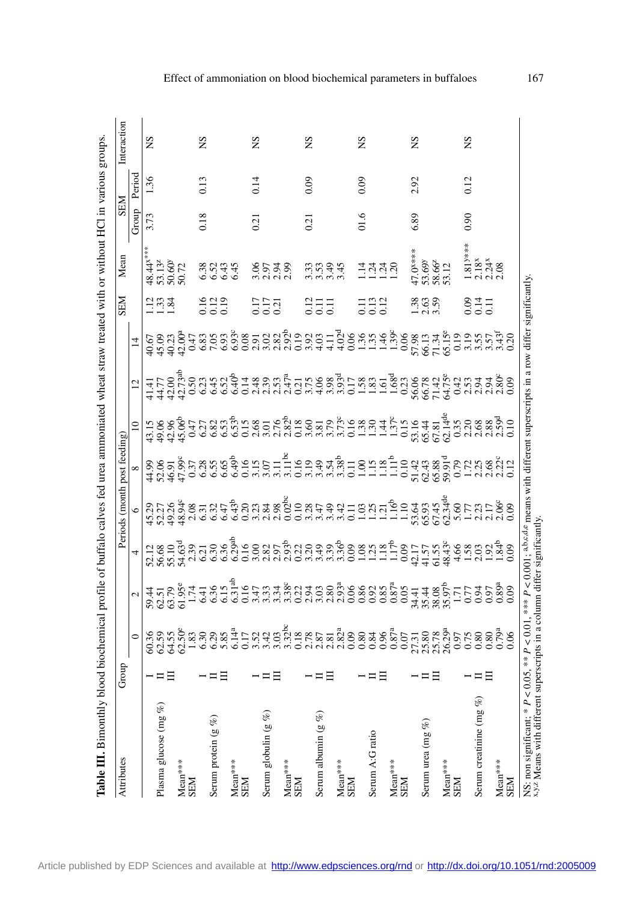| Attributes                                                                                                    | Group    |        |                                                                                                                                                                                                                                                                                                 | Periods (month post feeding) |               |        |                 | <b>NBS</b>                                 | Mean                                                                                  | <b>NES</b>        |        | Interaction |
|---------------------------------------------------------------------------------------------------------------|----------|--------|-------------------------------------------------------------------------------------------------------------------------------------------------------------------------------------------------------------------------------------------------------------------------------------------------|------------------------------|---------------|--------|-----------------|--------------------------------------------|---------------------------------------------------------------------------------------|-------------------|--------|-------------|
|                                                                                                               |          |        | $+$ $\frac{1}{2}$ and $\frac{1}{2}$ and $\frac{1}{2}$ and $\frac{1}{2}$ and $\frac{1}{2}$ and $\frac{1}{2}$ and $\frac{1}{2}$ and $\frac{1}{2}$ and $\frac{1}{2}$ and $\frac{1}{2}$ and $\frac{1}{2}$ and $\frac{1}{2}$ and $\frac{1}{2}$ and $\frac{1}{2}$ and $\frac{1}{2}$ and $\frac{1}{2}$ |                              |               | $12\,$ | $\overline{14}$ |                                            |                                                                                       | Group             | Period |             |
|                                                                                                               |          |        |                                                                                                                                                                                                                                                                                                 |                              | $\frac{1}{3}$ |        |                 | $\frac{133}{132}$                          | 48.44*<br>53.13°<br>50.60°<br>50.72                                                   | 3.73              | 1.36   | <b>SN</b>   |
| Plasma glucose (mg %)                                                                                         |          |        |                                                                                                                                                                                                                                                                                                 |                              |               |        |                 |                                            |                                                                                       |                   |        |             |
|                                                                                                               |          |        |                                                                                                                                                                                                                                                                                                 |                              |               |        |                 |                                            |                                                                                       |                   |        |             |
| $\begin{array}{ll}\text{Mean}^{***}\\ \text{SEM}\end{array}$                                                  |          |        |                                                                                                                                                                                                                                                                                                 |                              |               |        |                 |                                            |                                                                                       |                   |        |             |
|                                                                                                               |          |        |                                                                                                                                                                                                                                                                                                 |                              |               |        |                 |                                            |                                                                                       |                   |        |             |
|                                                                                                               |          |        |                                                                                                                                                                                                                                                                                                 |                              |               |        |                 |                                            |                                                                                       | 0.18              | 0.13   | SN          |
| Serum protein $(g \%)$                                                                                        |          |        |                                                                                                                                                                                                                                                                                                 |                              |               |        |                 | 16<br>0.12<br>0.0                          |                                                                                       |                   |        |             |
|                                                                                                               |          |        |                                                                                                                                                                                                                                                                                                 |                              |               |        |                 |                                            |                                                                                       |                   |        |             |
| Mean***                                                                                                       |          |        |                                                                                                                                                                                                                                                                                                 |                              |               |        |                 |                                            | 38545<br>6595                                                                         |                   |        |             |
| <b>SEM</b>                                                                                                    |          |        |                                                                                                                                                                                                                                                                                                 |                              |               |        |                 |                                            |                                                                                       |                   |        |             |
|                                                                                                               |          |        |                                                                                                                                                                                                                                                                                                 |                              |               |        |                 |                                            |                                                                                       | $\overline{0.21}$ | 0.14   | SN          |
| Serum globulin (g %)                                                                                          |          |        |                                                                                                                                                                                                                                                                                                 |                              |               |        |                 | 17<br>0.17<br>0.21                         | 8538.<br>3538.                                                                        |                   |        |             |
|                                                                                                               |          |        |                                                                                                                                                                                                                                                                                                 |                              |               |        |                 |                                            |                                                                                       |                   |        |             |
| Mean***                                                                                                       |          |        |                                                                                                                                                                                                                                                                                                 |                              |               |        |                 |                                            |                                                                                       |                   |        |             |
| <b>SEM</b>                                                                                                    |          |        |                                                                                                                                                                                                                                                                                                 |                              |               |        |                 |                                            |                                                                                       |                   |        |             |
|                                                                                                               |          |        |                                                                                                                                                                                                                                                                                                 |                              |               |        |                 |                                            |                                                                                       | 0.21              | 0.09   | SN          |
| Serum albumin $(g \%)$                                                                                        |          |        |                                                                                                                                                                                                                                                                                                 |                              |               |        |                 | $\begin{array}{c} 211 \\ 0.11 \end{array}$ | 3334<br>3345                                                                          |                   |        |             |
|                                                                                                               |          |        |                                                                                                                                                                                                                                                                                                 |                              |               |        |                 |                                            |                                                                                       |                   |        |             |
| $Mean***$                                                                                                     |          |        |                                                                                                                                                                                                                                                                                                 |                              |               |        |                 |                                            |                                                                                       |                   |        |             |
| <b>NBS</b>                                                                                                    |          |        |                                                                                                                                                                                                                                                                                                 |                              |               |        |                 |                                            |                                                                                       |                   |        |             |
|                                                                                                               |          |        |                                                                                                                                                                                                                                                                                                 |                              |               |        |                 |                                            |                                                                                       | 01.6              | 0.09   | SN          |
| Serum A:G ratio                                                                                               |          |        |                                                                                                                                                                                                                                                                                                 |                              |               |        |                 | 1131<br>0012                               | $\frac{1}{4}$ $\frac{3}{4}$ $\frac{3}{4}$ $\frac{3}{4}$                               |                   |        |             |
|                                                                                                               |          |        |                                                                                                                                                                                                                                                                                                 |                              |               |        |                 |                                            |                                                                                       |                   |        |             |
| $Mean***$                                                                                                     |          |        |                                                                                                                                                                                                                                                                                                 |                              |               |        |                 |                                            |                                                                                       |                   |        |             |
| <b>NES</b>                                                                                                    |          |        |                                                                                                                                                                                                                                                                                                 |                              |               |        |                 |                                            |                                                                                       |                   |        |             |
|                                                                                                               |          |        |                                                                                                                                                                                                                                                                                                 |                              |               |        |                 |                                            |                                                                                       | 6.89              | 2.92   | SN          |
| Serum urea (mg $%$ )                                                                                          |          |        |                                                                                                                                                                                                                                                                                                 |                              |               |        |                 | 33<br>133                                  | 47.0***<br>53.69y<br>58.66 <sup>z</sup>                                               |                   |        |             |
|                                                                                                               |          |        |                                                                                                                                                                                                                                                                                                 |                              |               |        |                 |                                            |                                                                                       |                   |        |             |
| Mean***                                                                                                       |          |        |                                                                                                                                                                                                                                                                                                 |                              |               |        |                 |                                            |                                                                                       |                   |        |             |
| <b>NES</b>                                                                                                    |          |        |                                                                                                                                                                                                                                                                                                 |                              |               |        |                 |                                            |                                                                                       |                   |        |             |
|                                                                                                               |          |        |                                                                                                                                                                                                                                                                                                 |                              |               |        |                 | $0.11$<br>$0.11$                           | $\begin{array}{c} 1.81\text{y} * \\ 2.18\text{y} \\ 2.24\text{y} \\ 2.08 \end{array}$ | 0.90              | 0.12   | ΧŊ.         |
| Serum creatinine (mg $%$ )                                                                                    |          |        |                                                                                                                                                                                                                                                                                                 |                              |               |        |                 |                                            |                                                                                       |                   |        |             |
|                                                                                                               | 日        |        |                                                                                                                                                                                                                                                                                                 |                              |               |        |                 |                                            |                                                                                       |                   |        |             |
| $Mean**$                                                                                                      |          |        |                                                                                                                                                                                                                                                                                                 |                              |               |        |                 |                                            |                                                                                       |                   |        |             |
| <b>NER</b>                                                                                                    |          |        |                                                                                                                                                                                                                                                                                                 |                              |               |        |                 |                                            |                                                                                       |                   |        |             |
| x,y,z Means with different superscripts in a column differ significantly.<br>NS: non significant; $* P < 0$ . | $05, **$ | < 0.01 | < 0.001; abc.d.e means with different superscripts in a row differ significantly.                                                                                                                                                                                                               |                              |               |        |                 |                                            |                                                                                       |                   |        |             |

## Effect of ammoniation on blood biochemical parameters in buffaloes 167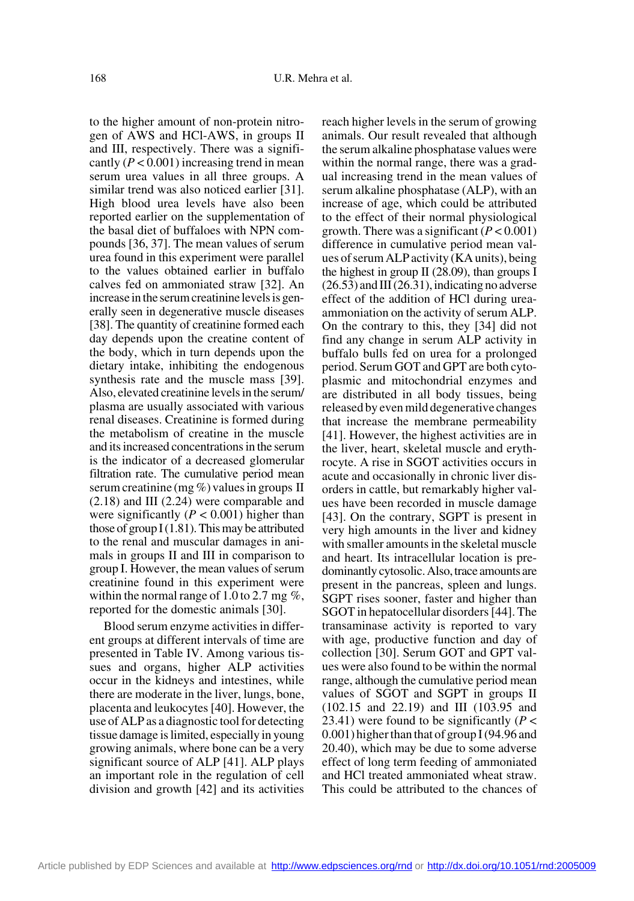to the higher amount of non-protein nitrogen of AWS and HCl-AWS, in groups II and III, respectively. There was a significantly  $(P < 0.001)$  increasing trend in mean serum urea values in all three groups. A similar trend was also noticed earlier [31]. High blood urea levels have also been reported earlier on the supplementation of the basal diet of buffaloes with NPN compounds [36, 37]. The mean values of serum urea found in this experiment were parallel to the values obtained earlier in buffalo calves fed on ammoniated straw [32]. An increase in the serum creatinine levels is generally seen in degenerative muscle diseases [38]. The quantity of creatinine formed each day depends upon the creatine content of the body, which in turn depends upon the dietary intake, inhibiting the endogenous synthesis rate and the muscle mass [39]. Also, elevated creatinine levels in the serum/ plasma are usually associated with various renal diseases. Creatinine is formed during the metabolism of creatine in the muscle and its increased concentrations in the serum is the indicator of a decreased glomerular filtration rate. The cumulative period mean serum creatinine (mg %) values in groups II (2.18) and III (2.24) were comparable and were significantly  $(P < 0.001)$  higher than those of group  $I(1.81)$ . This may be attributed to the renal and muscular damages in animals in groups II and III in comparison to group I. However, the mean values of serum creatinine found in this experiment were within the normal range of 1.0 to 2.7 mg  $\%$ , reported for the domestic animals [30].

Blood serum enzyme activities in different groups at different intervals of time are presented in Table IV. Among various tissues and organs, higher ALP activities occur in the kidneys and intestines, while there are moderate in the liver, lungs, bone, placenta and leukocytes [40]. However, the use of ALP as a diagnostic tool for detecting tissue damage is limited, especially in young growing animals, where bone can be a very significant source of ALP [41]. ALP plays an important role in the regulation of cell division and growth [42] and its activities reach higher levels in the serum of growing animals. Our result revealed that although the serum alkaline phosphatase values were within the normal range, there was a gradual increasing trend in the mean values of serum alkaline phosphatase (ALP), with an increase of age, which could be attributed to the effect of their normal physiological growth. There was a significant (*P* < 0.001) difference in cumulative period mean values of serum ALP activity (KA units), being the highest in group II (28.09), than groups I  $(26.53)$  and III  $(26.31)$ , indicating no adverse effect of the addition of HCl during ureaammoniation on the activity of serum ALP. On the contrary to this, they [34] did not find any change in serum ALP activity in buffalo bulls fed on urea for a prolonged period. Serum GOT and GPT are both cytoplasmic and mitochondrial enzymes and are distributed in all body tissues, being released by even mild degenerative changes that increase the membrane permeability [41]. However, the highest activities are in the liver, heart, skeletal muscle and erythrocyte. A rise in SGOT activities occurs in acute and occasionally in chronic liver disorders in cattle, but remarkably higher values have been recorded in muscle damage [43]. On the contrary, SGPT is present in very high amounts in the liver and kidney with smaller amounts in the skeletal muscle and heart. Its intracellular location is predominantly cytosolic. Also, trace amounts are present in the pancreas, spleen and lungs. SGPT rises sooner, faster and higher than SGOT in hepatocellular disorders [44]. The transaminase activity is reported to vary with age, productive function and day of collection [30]. Serum GOT and GPT values were also found to be within the normal range, although the cumulative period mean values of SGOT and SGPT in groups II (102.15 and 22.19) and III (103.95 and 23.41) were found to be significantly  $(P <$ 0.001) higher than that of group I (94.96 and 20.40), which may be due to some adverse effect of long term feeding of ammoniated and HCl treated ammoniated wheat straw. This could be attributed to the chances of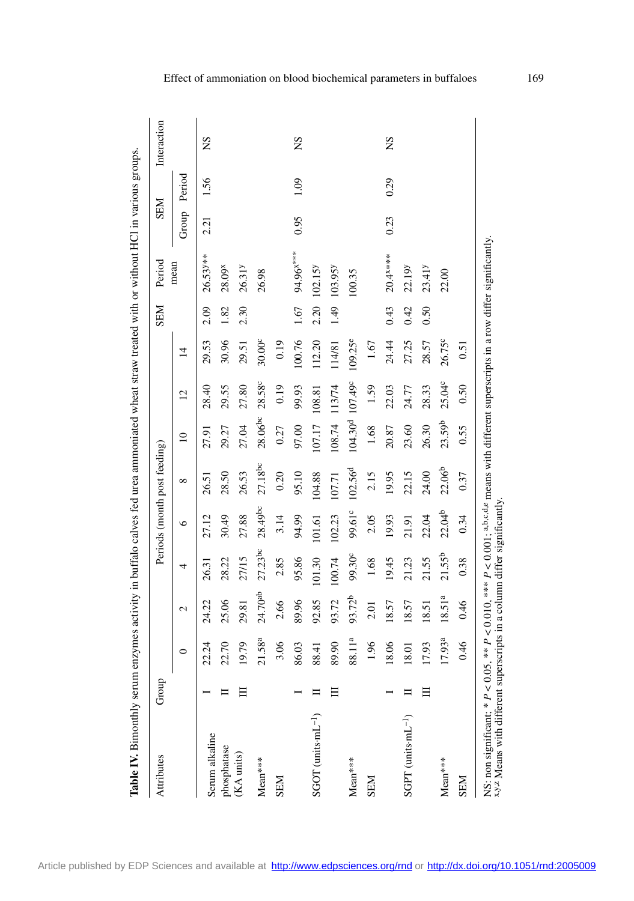| 27.23bc<br>99.30 <sup>c</sup><br>95.86<br>27/15<br>101.30<br>100.74<br>28.22<br>2.85<br>26.31<br>4<br>24.70ab<br>93.72b<br>25.06<br>89.96<br>92.85<br>2.66<br>93.72<br>24.22<br>29.81<br>$\mathcal{L}$<br>$21.58^{a}$<br>88.11 <sup>a</sup><br>3.06<br>22.70<br>19.79<br>89.90<br>22.24<br>86.03<br>88.41<br>○<br>目<br>$SGOT$ (units $mL^{-1}$ )<br>Serum alkaline<br>phosphatase<br>(KA units)<br>$Mean***$<br>$Mean***$<br><b>NEN</b> | $28.49$ bc<br>30.49<br>27.88<br>27.12<br>$\circ$ | $^{\circ}$          |                                         |                |                |      | Period                |       | <b>NES</b> | Interaction |
|-----------------------------------------------------------------------------------------------------------------------------------------------------------------------------------------------------------------------------------------------------------------------------------------------------------------------------------------------------------------------------------------------------------------------------------------|--------------------------------------------------|---------------------|-----------------------------------------|----------------|----------------|------|-----------------------|-------|------------|-------------|
|                                                                                                                                                                                                                                                                                                                                                                                                                                         |                                                  |                     | $\approx$                               | $\overline{c}$ | $\overline{4}$ |      | mean                  | Group | Period     |             |
|                                                                                                                                                                                                                                                                                                                                                                                                                                         |                                                  | 26.51               | 27.91                                   | 28.40          | 29.53          | 2.09 | $26.53$ <sup>**</sup> | 2.21  | 1.56       | SN          |
|                                                                                                                                                                                                                                                                                                                                                                                                                                         |                                                  | 28.50               | 29.27                                   | 29.55          | 30.96          | 1.82 | 28.09 <sup>x</sup>    |       |            |             |
|                                                                                                                                                                                                                                                                                                                                                                                                                                         |                                                  | 26.53               | 27.04                                   | 27.80          | 29.51          | 2.30 | 26.31                 |       |            |             |
|                                                                                                                                                                                                                                                                                                                                                                                                                                         |                                                  | 27.18bc             | 28.06bc                                 | 28.58°         | 30.00°         |      | 26.98                 |       |            |             |
|                                                                                                                                                                                                                                                                                                                                                                                                                                         | 3.14                                             | 0.20                | 0.27                                    | 0.19           | 0.19           |      |                       |       |            |             |
|                                                                                                                                                                                                                                                                                                                                                                                                                                         | 94.99                                            | 95.10               | 97.00                                   | 99.93          | 100.76         | 1.67 | 94.96 <sup>x***</sup> | 0.95  | 1.09       | SN          |
|                                                                                                                                                                                                                                                                                                                                                                                                                                         | 101.61                                           | 104.88              | 107.17                                  | 108.81         | 112.20         | 2.20 | 102.15                |       |            |             |
|                                                                                                                                                                                                                                                                                                                                                                                                                                         | 102.23                                           | 107.71              | 108.74                                  | 113/74         | 114/81         | 1.49 | 103.95y               |       |            |             |
|                                                                                                                                                                                                                                                                                                                                                                                                                                         | 99.61°                                           | 102.56 <sup>d</sup> | 104.30 <sup>d</sup> 107.49 <sup>c</sup> |                | $109.25^e$     |      | 100.35                |       |            |             |
| 1.68<br>2.01<br>1.96<br><b>NES</b>                                                                                                                                                                                                                                                                                                                                                                                                      | 2.05                                             | 2.15                | 1.68                                    | 1.59           | 1.67           |      |                       |       |            |             |
| 19.45<br>18.57<br>18.06                                                                                                                                                                                                                                                                                                                                                                                                                 | 19.93                                            | 19.95               | 20.87                                   | 22.03          | 24.44          | 0.43 | 20.4 ****             | 0.23  | 0.29       | SN          |
| 21.23<br>18.57<br>18.01<br>$S$ GPT (units $\cdot$ mL <sup>-1</sup> )                                                                                                                                                                                                                                                                                                                                                                    | 21.91                                            | 22.15               | 23.60                                   | 24.77          | 27.25          | 0.42 | 22.19 <sup>y</sup>    |       |            |             |
| 21.55<br>18.51<br>17.93                                                                                                                                                                                                                                                                                                                                                                                                                 | 22.04                                            | 24.00               | 26.30                                   | 28.33          | 28.57          | 0.50 | $23.41$ <sup>y</sup>  |       |            |             |
| 21.55 <sup>b</sup><br>18.51 <sup>a</sup><br>17.93 <sup>a</sup><br>$Mean***$                                                                                                                                                                                                                                                                                                                                                             | 22.04 <sup>b</sup>                               | 22.06 <sup>b</sup>  | 23.59b                                  | 25.04°         | 26.75c         |      | 22.00                 |       |            |             |
| 0.38<br>0.46<br>0.46<br><b>NES</b>                                                                                                                                                                                                                                                                                                                                                                                                      | 0.34                                             | 0.37                | 0.55                                    | 0.50           | 0.51           |      |                       |       |            |             |

Effect of ammoniation on blood biochemical parameters in buffaloes 169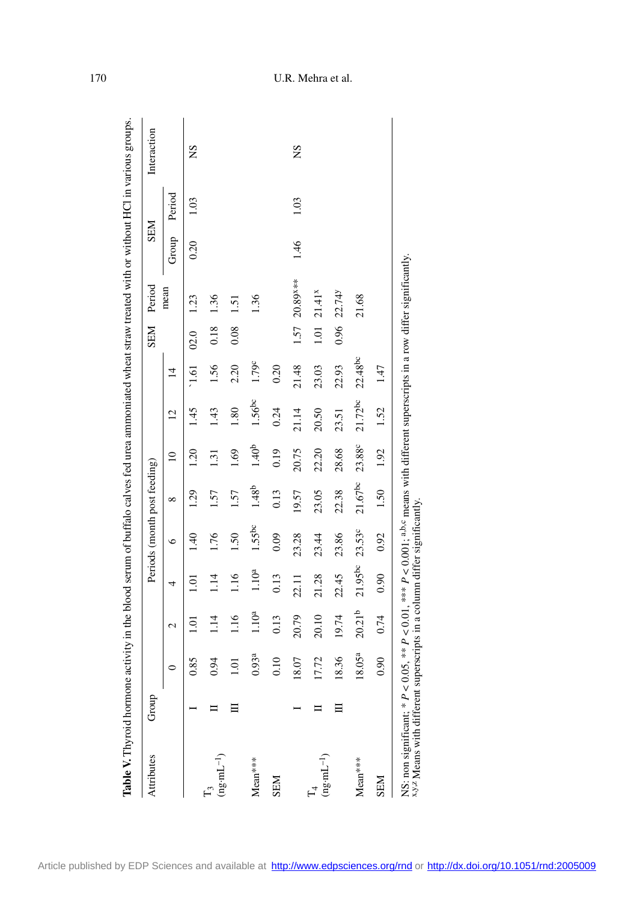| Attributes                                                                                                  | Group |                   |                    |                   |           | Periods (month post feeding) |                   |                |                | <b>NEN</b> | Period                                                                                                         | <b>NES</b> |        | Interaction |
|-------------------------------------------------------------------------------------------------------------|-------|-------------------|--------------------|-------------------|-----------|------------------------------|-------------------|----------------|----------------|------------|----------------------------------------------------------------------------------------------------------------|------------|--------|-------------|
|                                                                                                             |       |                   | 2                  | 4                 | ७         | ${}^{\circ}$                 | $\Xi$             | $\overline{c}$ | $\overline{1}$ |            | mean                                                                                                           | Group      | Period |             |
|                                                                                                             |       | 0.85              | $\Xi$              | Ξ                 | 40        | $\overline{29}$              | 1.20              | 1.45           | 1.61           | 02.0       | 1.23                                                                                                           | 0.20       | 1.03   | ΧŠ          |
| $(ng \cdot mL^{-1})$                                                                                        |       | 0.94              | 1.14               | 114               | 1.76      | 1.57                         | 1.31              | 143            | 1.56           | 0.18       | 1.36                                                                                                           |            |        |             |
|                                                                                                             |       | 1.01              | 1.16               | 1.16              | 1.50      | 1.57                         | 1.69              | 1.80           | 2.20           | 0.08       | 1.51                                                                                                           |            |        |             |
| Mean***                                                                                                     |       | 0.93 <sup>a</sup> | 1.10 <sup>a</sup>  | 1.10 <sup>a</sup> | $1.55$ bc | 1.48 <sup>b</sup>            | 1.40 <sup>b</sup> | 1.56bc         | 1.79c          |            | 136                                                                                                            |            |        |             |
| <b>NES</b>                                                                                                  |       | 0.10              | 0.13               | 0.13              | 0.09      | 0.13                         | 0.19              | 0.24           | 0.20           |            |                                                                                                                |            |        |             |
|                                                                                                             |       | 18.07             | 20.79              | 22.11             | 23.28     | 19.57                        | 20.75             | 21.14          | 21.48          |            | 1.57 20.89 ***                                                                                                 | 1.46       | 1.03   | SN          |
| $(ng \cdot mL^{-1})$                                                                                        |       | 17.72             | 20.10              | 21.28             | 23.44     | 23.05                        | 22.20             | 20.50          | 23.03          |            | $1.01$ 21.41 <sup>x</sup>                                                                                      |            |        |             |
|                                                                                                             |       | 18.36             | 19.74              | 22.45             | 23.86     | 22.38                        | 28.68             | 23.51          | 22.93          | 0.96       | 22.74                                                                                                          |            |        |             |
| Mean***                                                                                                     |       | $18.05^{a}$       | 20.21 <sup>b</sup> | 21.95bc 23.53c    |           | $21.67$ <sup>bc</sup>        | 23.88c            | $21.72$ bc     | $22.48$ bc     |            | 21.68                                                                                                          |            |        |             |
| <b>NEN</b>                                                                                                  |       | 0.90              | 0.74               | 0.90              | 0.92      | 1.50                         | 1.92              | 1.52           | 1.47           |            |                                                                                                                |            |        |             |
| x,y,z Means with different superscripts in a column differ significantly.<br>NS: non significant; $* P < 0$ |       |                   |                    |                   |           |                              |                   |                |                |            | 0.05, ** $P < 0.01$ , *** $P < 0.001$ ; a,b,c means with different superscripts in a row differ significantly. |            |        |             |

## 170 U.R. Mehra et al.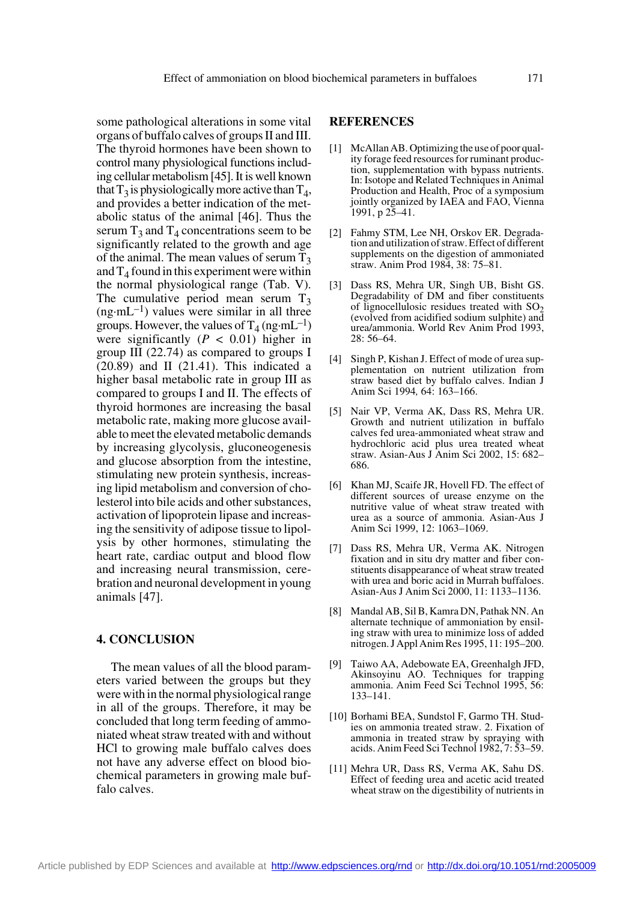some pathological alterations in some vital organs of buffalo calves of groups II and III. The thyroid hormones have been shown to control many physiological functions including cellular metabolism [45]. It is well known that  $T_3$  is physiologically more active than  $T_4$ , and provides a better indication of the metabolic status of the animal [46]. Thus the serum  $T_3$  and  $T_4$  concentrations seem to be significantly related to the growth and age of the animal. The mean values of serum  $T_3$ and  $T_4$  found in this experiment were within the normal physiological range (Tab. V). The cumulative period mean serum  $T_3$  $(ng\cdot mL^{-1})$  values were similar in all three groups. However, the values of  $T_4$  (ng·mL<sup>-1</sup>) were significantly  $(P < 0.01)$  higher in group III (22.74) as compared to groups I  $(20.89)$  and II  $(21.41)$ . This indicated a higher basal metabolic rate in group III as compared to groups I and II. The effects of thyroid hormones are increasing the basal metabolic rate, making more glucose available to meet the elevated metabolic demands by increasing glycolysis, gluconeogenesis and glucose absorption from the intestine, stimulating new protein synthesis, increasing lipid metabolism and conversion of cholesterol into bile acids and other substances, activation of lipoprotein lipase and increasing the sensitivity of adipose tissue to lipolysis by other hormones, stimulating the heart rate, cardiac output and blood flow and increasing neural transmission, cerebration and neuronal development in young animals [47].

#### **4. CONCLUSION**

The mean values of all the blood parameters varied between the groups but they were with in the normal physiological range in all of the groups. Therefore, it may be concluded that long term feeding of ammoniated wheat straw treated with and without HCl to growing male buffalo calves does not have any adverse effect on blood biochemical parameters in growing male buffalo calves.

#### **REFERENCES**

- [1] McAllan AB. Optimizing the use of poor quality forage feed resources for ruminant production, supplementation with bypass nutrients. In: Isotope and Related Techniques in Animal Production and Health, Proc of a symposium jointly organized by IAEA and FAO, Vienna 1991, p 25–41.
- [2] Fahmy STM, Lee NH, Orskov ER. Degradation and utilization of straw. Effect of different supplements on the digestion of ammoniated straw. Anim Prod 1984, 38: 75–81.
- [3] Dass RS, Mehra UR, Singh UB, Bisht GS. Degradability of DM and fiber constituents of lignocellulosic residues treated with  $SO<sub>2</sub>$ (evolved from acidified sodium sulphite) and urea/ammonia. World Rev Anim Prod 1993, 28: 56–64.
- [4] Singh P, Kishan J. Effect of mode of urea supplementation on nutrient utilization from straw based diet by buffalo calves. Indian J Anim Sci 1994*,* 64: 163–166.
- [5] Nair VP, Verma AK, Dass RS, Mehra UR. Growth and nutrient utilization in buffalo calves fed urea-ammoniated wheat straw and hydrochloric acid plus urea treated wheat straw. Asian-Aus J Anim Sci 2002, 15: 682– 686.
- [6] Khan MJ, Scaife JR, Hovell FD. The effect of different sources of urease enzyme on the nutritive value of wheat straw treated with urea as a source of ammonia. Asian-Aus J Anim Sci 1999, 12: 1063–1069.
- [7] Dass RS, Mehra UR, Verma AK. Nitrogen fixation and in situ dry matter and fiber constituents disappearance of wheat straw treated with urea and boric acid in Murrah buffaloes. Asian-Aus J Anim Sci 2000, 11: 1133–1136.
- [8] Mandal AB, Sil B, Kamra DN, Pathak NN. An alternate technique of ammoniation by ensiling straw with urea to minimize loss of added nitrogen. J Appl Anim Res 1995, 11: 195–200.
- [9] Taiwo AA, Adebowate EA, Greenhalgh JFD, Akinsoyinu AO. Techniques for trapping ammonia. Anim Feed Sci Technol 1995, 56: 133–141.
- [10] Borhami BEA, Sundstol F, Garmo TH. Studies on ammonia treated straw. 2. Fixation of ammonia in treated straw by spraying with acids. Anim Feed Sci Technol 1982, 7: 53–59.
- [11] Mehra UR, Dass RS, Verma AK, Sahu DS. Effect of feeding urea and acetic acid treated wheat straw on the digestibility of nutrients in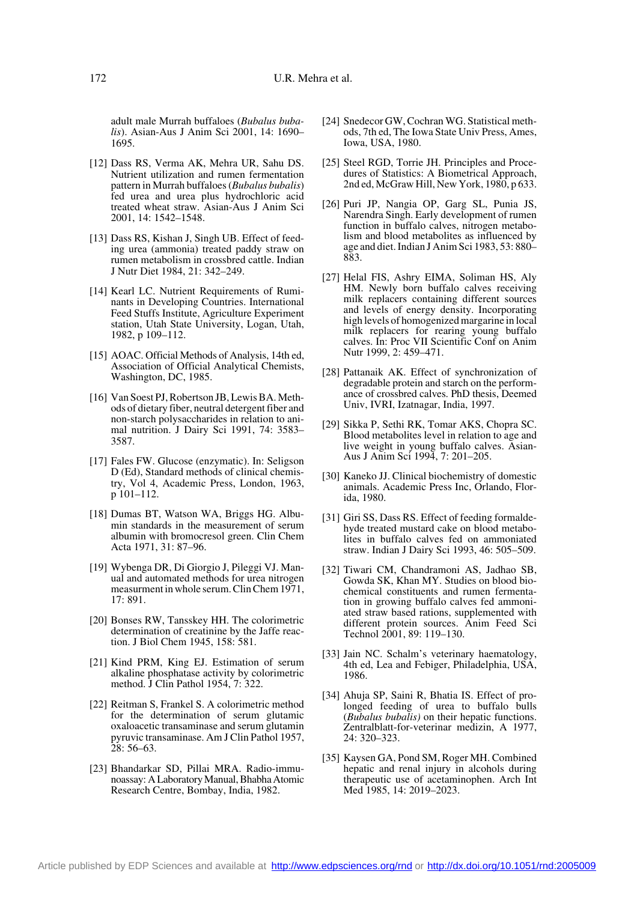adult male Murrah buffaloes (*Bubalus bubalis*). Asian-Aus J Anim Sci 2001, 14: 1690– 1695.

- [12] Dass RS, Verma AK, Mehra UR, Sahu DS. Nutrient utilization and rumen fermentation pattern in Murrah buffaloes (*Bubalus bubalis*) fed urea and urea plus hydrochloric acid treated wheat straw. Asian-Aus J Anim Sci 2001, 14: 1542–1548.
- [13] Dass RS, Kishan J, Singh UB. Effect of feeding urea (ammonia) treated paddy straw on rumen metabolism in crossbred cattle. Indian J Nutr Diet 1984, 21: 342–249.
- [14] Kearl LC. Nutrient Requirements of Ruminants in Developing Countries. International Feed Stuffs Institute, Agriculture Experiment station, Utah State University, Logan, Utah, 1982, p 109–112.
- [15] AOAC. Official Methods of Analysis, 14th ed, Association of Official Analytical Chemists, Washington, DC, 1985.
- [16] Van Soest PJ, Robertson JB, Lewis BA. Methods of dietary fiber, neutral detergent fiber and non-starch polysaccharides in relation to animal nutrition. J Dairy Sci 1991, 74: 3583– 3587.
- [17] Fales FW. Glucose (enzymatic). In: Seligson D (Ed), Standard methods of clinical chemistry, Vol 4, Academic Press, London, 1963, p 101–112.
- [18] Dumas BT, Watson WA, Briggs HG. Albumin standards in the measurement of serum albumin with bromocresol green. Clin Chem Acta 1971, 31: 87–96.
- [19] Wybenga DR, Di Giorgio J, Pileggi VJ. Manual and automated methods for urea nitrogen measurment in whole serum. Clin Chem 1971, 17: 891.
- [20] Bonses RW, Tansskey HH. The colorimetric determination of creatinine by the Jaffe reaction. J Biol Chem 1945, 158: 581.
- [21] Kind PRM, King EJ. Estimation of serum alkaline phosphatase activity by colorimetric method. J Clin Pathol 1954, 7: 322.
- [22] Reitman S, Frankel S. A colorimetric method for the determination of serum glutamic oxaloacetic transaminase and serum glutamin pyruvic transaminase. Am J Clin Pathol 1957, 28: 56–63.
- [23] Bhandarkar SD, Pillai MRA. Radio-immunoassay: A Laboratory Manual, Bhabha Atomic Research Centre, Bombay, India, 1982.
- [24] Snedecor GW, Cochran WG. Statistical methods, 7th ed, The Iowa State Univ Press, Ames, Iowa, USA, 1980.
- [25] Steel RGD, Torrie JH. Principles and Procedures of Statistics: A Biometrical Approach, 2nd ed, McGraw Hill, New York, 1980, p 633.
- [26] Puri JP, Nangia OP, Garg SL, Punia JS, Narendra Singh. Early development of rumen function in buffalo calves, nitrogen metabolism and blood metabolites as influenced by age and diet. Indian J Anim Sci 1983, 53: 880– 883.
- [27] Helal FIS, Ashry EIMA, Soliman HS, Aly HM. Newly born buffalo calves receiving milk replacers containing different sources and levels of energy density. Incorporating high levels of homogenized margarine in local milk replacers for rearing young buffalo calves. In: Proc VII Scientific Conf on Anim Nutr 1999, 2: 459–471.
- [28] Pattanaik AK. Effect of synchronization of degradable protein and starch on the performance of crossbred calves. PhD thesis, Deemed Univ, IVRI, Izatnagar, India, 1997.
- [29] Sikka P, Sethi RK, Tomar AKS, Chopra SC. Blood metabolites level in relation to age and live weight in young buffalo calves. Asian-Aus J Anim Sci 1994, 7: 201–205.
- [30] Kaneko JJ. Clinical biochemistry of domestic animals. Academic Press Inc, Orlando, Florida, 1980.
- [31] Giri SS, Dass RS. Effect of feeding formaldehyde treated mustard cake on blood metabolites in buffalo calves fed on ammoniated straw. Indian J Dairy Sci 1993, 46: 505–509.
- [32] Tiwari CM, Chandramoni AS, Jadhao SB, Gowda SK, Khan MY. Studies on blood biochemical constituents and rumen fermentation in growing buffalo calves fed ammoniated straw based rations, supplemented with different protein sources. Anim Feed Sci Technol 2001, 89: 119–130.
- [33] Jain NC. Schalm's veterinary haematology, 4th ed, Lea and Febiger, Philadelphia, USA, 1986.
- [34] Ahuja SP, Saini R, Bhatia IS. Effect of prolonged feeding of urea to buffalo bulls (*Bubalus bubalis)* on their hepatic functions. Zentralblatt-for-veterinar medizin, A 1977, 24: 320–323.
- [35] Kaysen GA, Pond SM, Roger MH. Combined hepatic and renal injury in alcohols during therapeutic use of acetaminophen. Arch Int Med 1985, 14: 2019–2023.